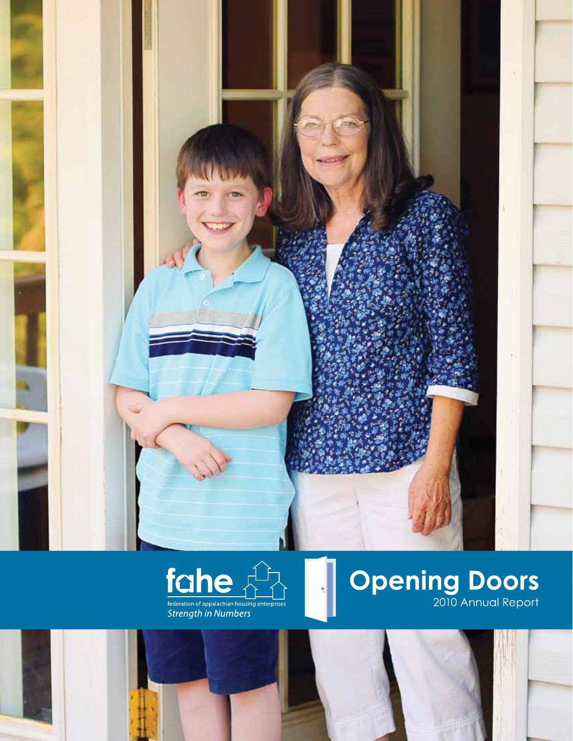



# **Opening Doors**

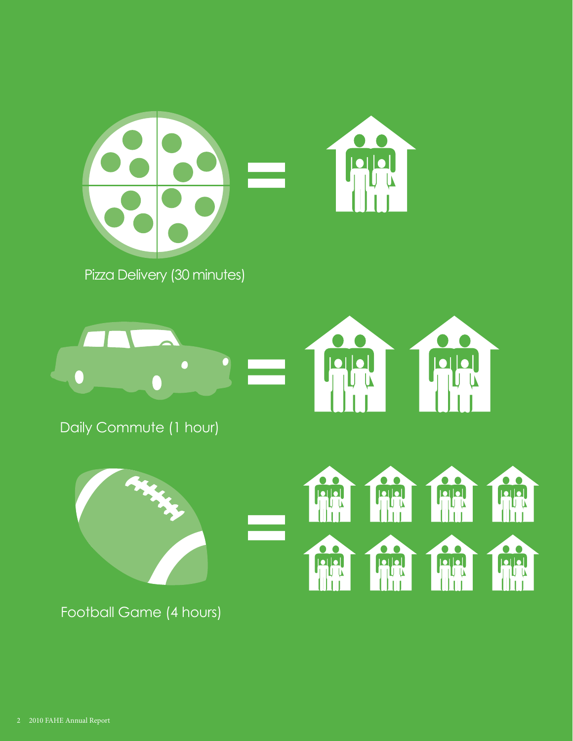

Pizza Delivery (30 minutes)



Daily Commute (1 hour)



Football Game (4 hours)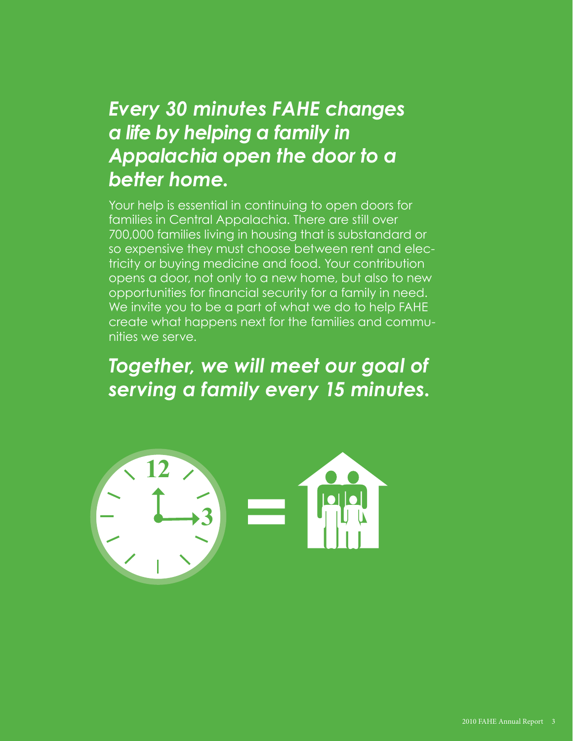### *Every 30 minutes FAHE changes a life by helping a family in Appalachia open the door to a better home.*

Your help is essential in continuing to open doors for families in Central Appalachia. There are still over 700,000 families living in housing that is substandard or so expensive they must choose between rent and electricity or buying medicine and food. Your contribution opens a door, not only to a new home, but also to new opportunities for financial security for a family in need. We invite you to be a part of what we do to help FAHE create what happens next for the families and communities we serve.

### *Together, we will meet our goal of serving a family every 15 minutes.*

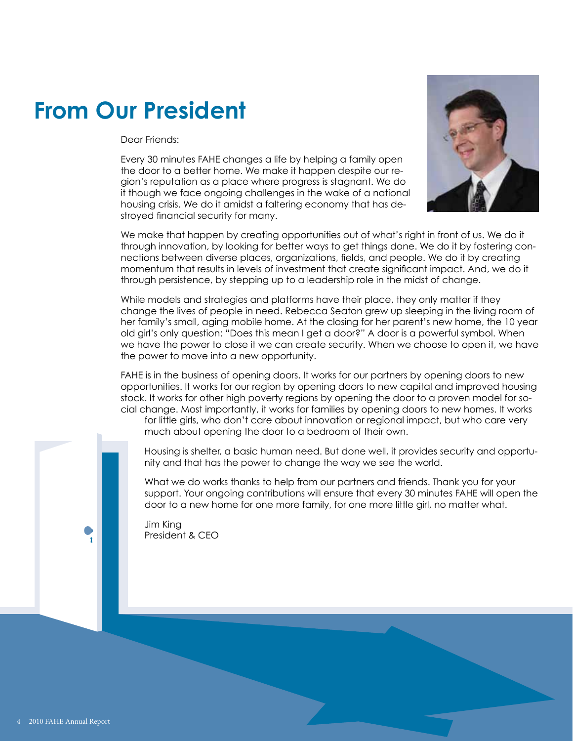## **From Our President**

Dear Friends:

Every 30 minutes FAHE changes a life by helping a family open the door to a better home. We make it happen despite our region's reputation as a place where progress is stagnant. We do it though we face ongoing challenges in the wake of a national housing crisis. We do it amidst a faltering economy that has destroyed financial security for many.



We make that happen by creating opportunities out of what's right in front of us. We do it through innovation, by looking for better ways to get things done. We do it by fostering connections between diverse places, organizations, fields, and people. We do it by creating momentum that results in levels of investment that create significant impact. And, we do it through persistence, by stepping up to a leadership role in the midst of change.

While models and strategies and platforms have their place, they only matter if they change the lives of people in need. Rebecca Seaton grew up sleeping in the living room of her family's small, aging mobile home. At the closing for her parent's new home, the 10 year old girl's only question: "Does this mean I get a door?" A door is a powerful symbol. When we have the power to close it we can create security. When we choose to open it, we have the power to move into a new opportunity.

FAHE is in the business of opening doors. It works for our partners by opening doors to new opportunities. It works for our region by opening doors to new capital and improved housing stock. It works for other high poverty regions by opening the door to a proven model for social change. Most importantly, it works for families by opening doors to new homes. It works

for little girls, who don't care about innovation or regional impact, but who care very much about opening the door to a bedroom of their own.

Housing is shelter, a basic human need. But done well, it provides security and opportunity and that has the power to change the way we see the world.

What we do works thanks to help from our partners and friends. Thank you for your support. Your ongoing contributions will ensure that every 30 minutes FAHE will open the door to a new home for one more family, for one more little girl, no matter what.

Jim King President & CEO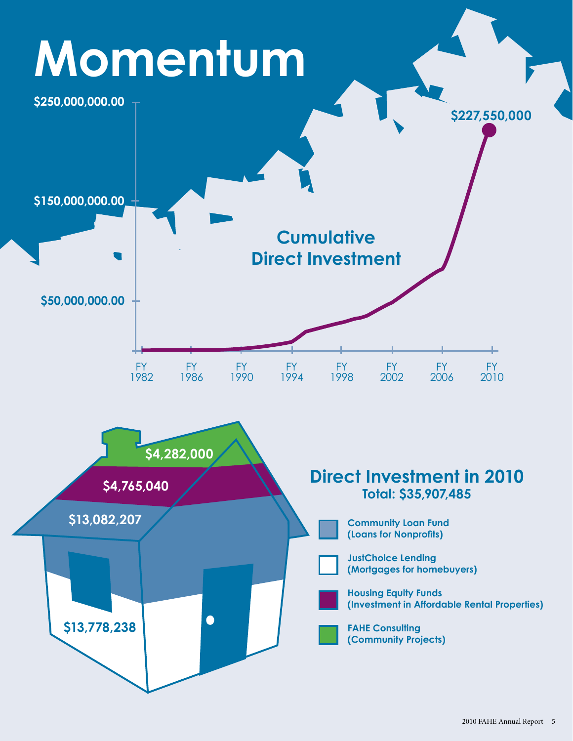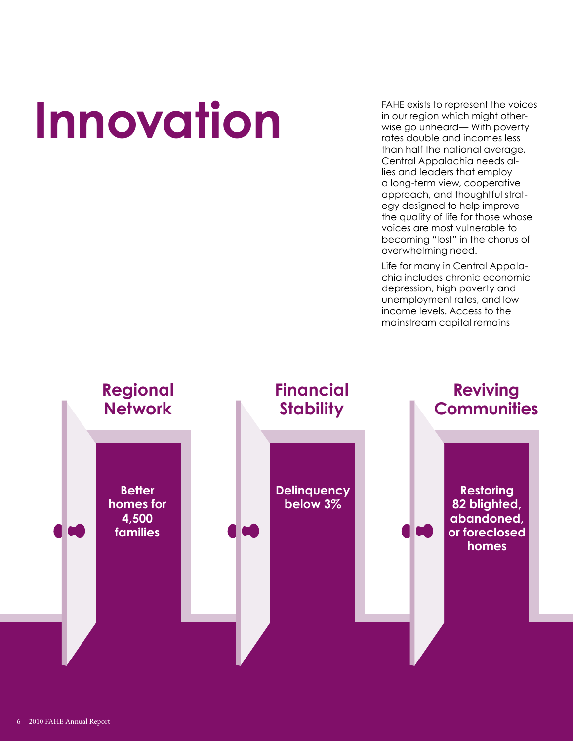# **Innovation**

FAHE exists to represent the voices in our region which might otherwise go unheard— With poverty rates double and incomes less than half the national average, Central Appalachia needs allies and leaders that employ a long-term view, cooperative approach, and thoughtful strategy designed to help improve the quality of life for those whose voices are most vulnerable to becoming "lost" in the chorus of overwhelming need.

Life for many in Central Appalachia includes chronic economic depression, high poverty and unemployment rates, and low income levels. Access to the mainstream capital remains

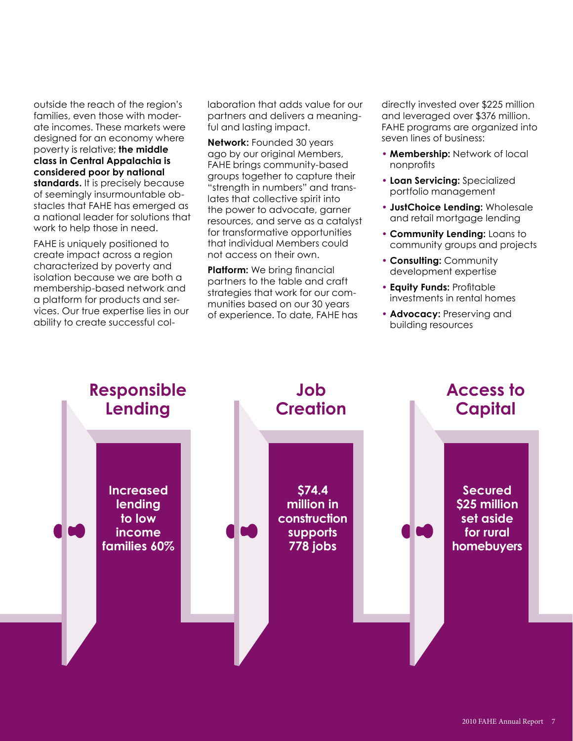outside the reach of the region's families, even those with moderate incomes. These markets were designed for an economy where poverty is relative; **the middle class in Central Appalachia is considered poor by national**  standards. It is precisely because of seemingly insurmountable obstacles that FAHE has emerged as a national leader for solutions that work to help those in need.

FAHE is uniquely positioned to create impact across a region characterized by poverty and isolation because we are both a membership-based network and a platform for products and services. Our true expertise lies in our ability to create successful collaboration that adds value for our partners and delivers a meaningful and lasting impact.

**Network:** Founded 30 years ago by our original Members, FAHE brings community-based groups together to capture their "strength in numbers" and translates that collective spirit into the power to advocate, garner resources, and serve as a catalyst for transformative opportunities that individual Members could not access on their own.

**Platform:** We bring financial partners to the table and craft strategies that work for our communities based on our 30 years of experience. To date, FAHE has directly invested over \$225 million and leveraged over \$376 million. FAHE programs are organized into seven lines of business:

- **Membership:** Network of local nonprofits
- **Loan Servicing:** Specialized portfolio management
- **JustChoice Lending:** Wholesale and retail mortgage lending
- **Community Lending:** Loans to community groups and projects
- **Consulting:** Community development expertise
- **Equity Funds:** Profitable investments in rental homes
- **Advocacy:** Preserving and building resources

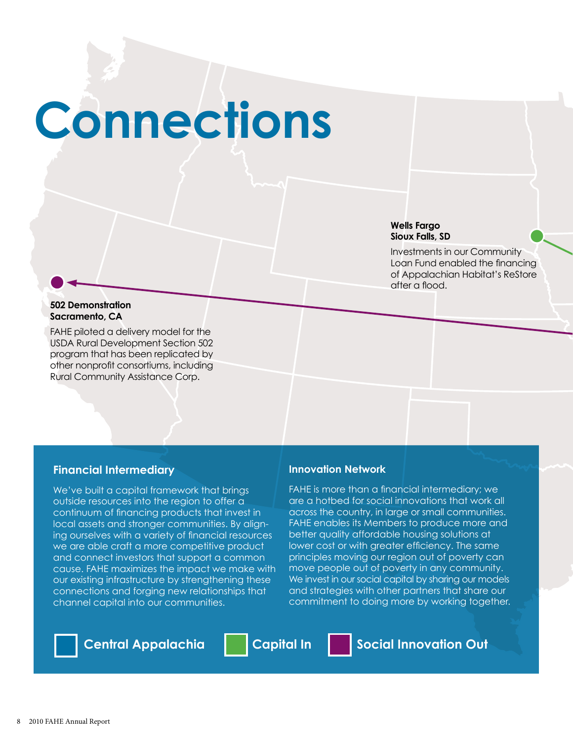# **Connections**

#### **Wells Fargo Sioux Falls, SD**

Investments in our Community Loan Fund enabled the financing of Appalachian Habitat's ReStore after a flood.

#### **502 Demonstration Sacramento, CA**

FAHE piloted a delivery model for the USDA Rural Development Section 502 program that has been replicated by other nonprofit consortiums, including Rural Community Assistance Corp.

### **Financial Intermediary**

We've built a capital framework that brings outside resources into the region to offer a continuum of financing products that invest in local assets and stronger communities. By aligning ourselves with a variety of financial resources we are able craft a more competitive product and connect investors that support a common cause. FAHE maximizes the impact we make with our existing infrastructure by strengthening these connections and forging new relationships that channel capital into our communities.

### **Innovation Network**

FAHE is more than a financial intermediary; we are a hotbed for social innovations that work all across the country, in large or small communities. FAHE enables its Members to produce more and better quality affordable housing solutions at lower cost or with greater efficiency. The same principles moving our region out of poverty can move people out of poverty in any community. We invest in our social capital by sharing our models and strategies with other partners that share our commitment to doing more by working together.



Central Appalachia | Capital In | Social Innovation Out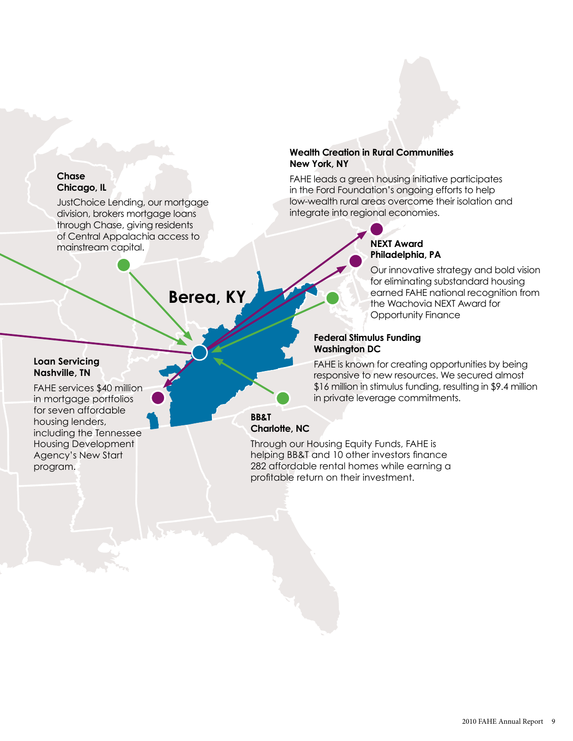### **Chase Chicago, IL**

JustChoice Lending, our mortgage division, brokers mortgage loans through Chase, giving residents of Central Appalachia access to mainstream capital.

### **Berea, KY**

#### **Loan Servicing Nashville, TN**

FAHE services \$40 million in mortgage portfolios for seven affordable housing lenders, including the Tennessee Housing Development Agency's New Start program.

### **Wealth Creation in Rural Communities New York, NY**

FAHE leads a green housing initiative participates in the Ford Foundation's ongoing efforts to help low-wealth rural areas overcome their isolation and integrate into regional economies.

### **NEXT Award Philadelphia, PA**

Our innovative strategy and bold vision for eliminating substandard housing earned FAHE national recognition from the Wachovia NEXT Award for Opportunity Finance

### **Federal Stimulus Funding Washington DC**

FAHE is known for creating opportunities by being responsive to new resources. We secured almost \$16 million in stimulus funding, resulting in \$9.4 million in private leverage commitments.

### **BB&T Charlotte, NC**

Through our Housing Equity Funds, FAHE is helping BB&T and 10 other investors finance 282 affordable rental homes while earning a profitable return on their investment.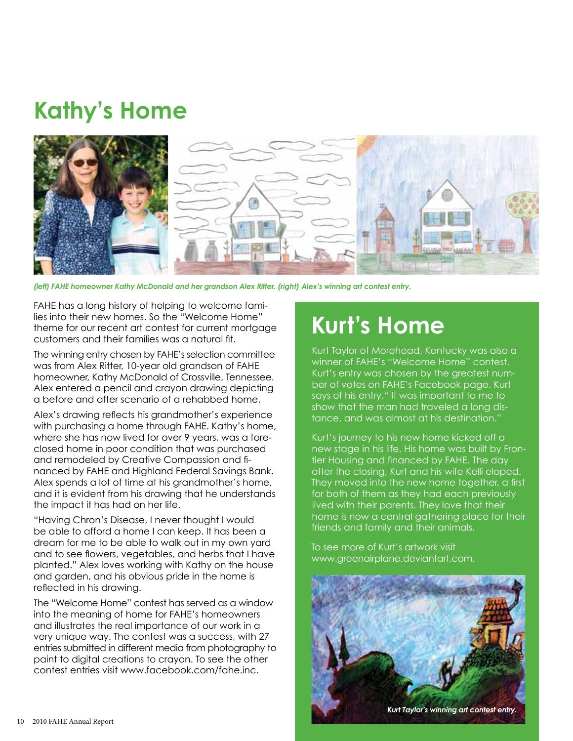## **Kathy's Home**



*(left) FAHE homeowner Kathy McDonald and her grandson Alex Ritter. (right) Alex's winning art contest entry.*

FAHE has a long history of helping to welcome families into their new homes. So the "Welcome Home" theme for our recent art contest for current mortgage customers and their families was a natural fit.

The winning entry chosen by FAHE's selection committee was from Alex Ritter, 10-year old grandson of FAHE homeowner, Kathy McDonald of Crossville, Tennessee. Alex entered a pencil and crayon drawing depicting a before and after scenario of a rehabbed home.

Alex's drawing reflects his grandmother's experience with purchasing a home through FAHE. Kathy's home, where she has now lived for over 9 years, was a foreclosed home in poor condition that was purchased and remodeled by Creative Compassion and financed by FAHE and Highland Federal Savings Bank. Alex spends a lot of time at his grandmother's home, and it is evident from his drawing that he understands the impact it has had on her life.

"Having Chron's Disease, I never thought I would be able to afford a home I can keep. It has been a dream for me to be able to walk out in my own yard and to see flowers, vegetables, and herbs that I have planted." Alex loves working with Kathy on the house and garden, and his obvious pride in the home is reflected in his drawing.

The "Welcome Home" contest has served as a window into the meaning of home for FAHE's homeowners and illustrates the real importance of our work in a very unique way. The contest was a success, with 27 entries submitted in different media from photography to paint to digital creations to crayon. To see the other contest entries visit www.facebook.com/fahe.inc.

## **Kurt's Home**

Kurt Taylor of Morehead, Kentucky was also a winner of FAHE's "Welcome Home" contest. Kurt's entry was chosen by the greatest number of votes on FAHE's Facebook page. Kurt says of his entry," It was important to me to show that the man had traveled a long distance, and was almost at his destination."

Kurt's journey to his new home kicked off a new stage in his life. His home was built by Frontier Housing and financed by FAHE. The day after the closing, Kurt and his wife Kelli eloped. They moved into the new home together, a first for both of them as they had each previously lived with their parents. They love that their home is now a central gathering place for their friends and family and their animals.

To see more of Kurt's artwork visit www.greenairplane.deviantart.com.

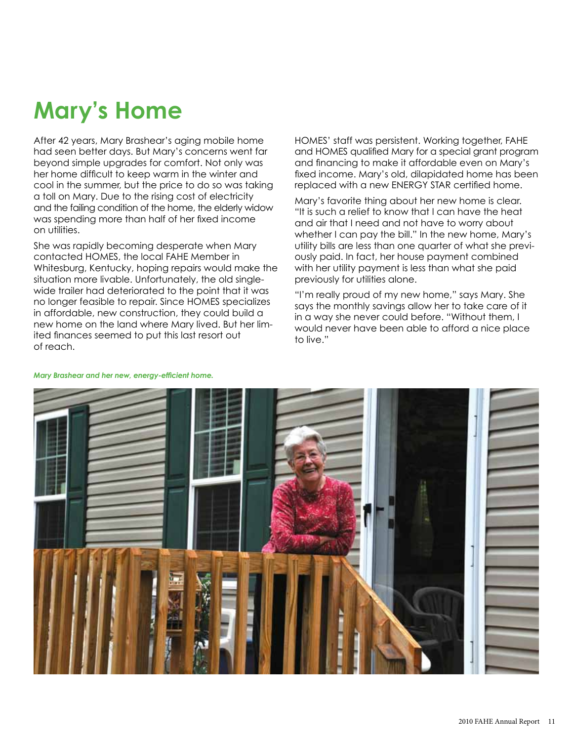# **Mary's Home**

After 42 years, Mary Brashear's aging mobile home had seen better days. But Mary's concerns went far beyond simple upgrades for comfort. Not only was her home difficult to keep warm in the winter and cool in the summer, but the price to do so was taking a toll on Mary. Due to the rising cost of electricity and the failing condition of the home, the elderly widow was spending more than half of her fixed income on utilities.

She was rapidly becoming desperate when Mary contacted HOMES, the local FAHE Member in Whitesburg, Kentucky, hoping repairs would make the situation more livable. Unfortunately, the old singlewide trailer had deteriorated to the point that it was no longer feasible to repair. Since HOMES specializes in affordable, new construction, they could build a new home on the land where Mary lived. But her limited finances seemed to put this last resort out of reach.

HOMES' staff was persistent. Working together, FAHE and HOMES qualified Mary for a special grant program and financing to make it affordable even on Mary's fixed income. Mary's old, dilapidated home has been replaced with a new ENERGY STAR certified home.

Mary's favorite thing about her new home is clear. "It is such a relief to know that I can have the heat and air that I need and not have to worry about whether I can pay the bill." In the new home, Mary's utility bills are less than one quarter of what she previously paid. In fact, her house payment combined with her utility payment is less than what she paid previously for utilities alone.

"I'm really proud of my new home," says Mary. She says the monthly savings allow her to take care of it in a way she never could before. "Without them, I would never have been able to afford a nice place to live."



#### *Mary Brashear and her new, energy-efficient home.*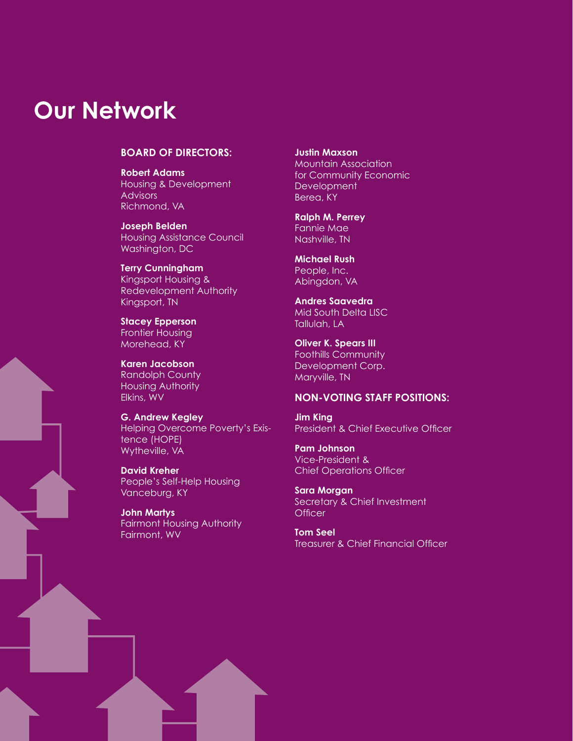### **Our Network**

### **BOARD OF DIRECTORS:**

**Robert Adams** Housing & Development **Advisors** Richmond, VA

**Joseph Belden** Housing Assistance Council Washington, DC

**Terry Cunningham** Kingsport Housing & Redevelopment Authority Kingsport, TN

**Stacey Epperson** Frontier Housing Morehead, KY

**Karen Jacobson** Randolph County Housing Authority Elkins, WV

**G. Andrew Kegley** Helping Overcome Poverty's Existence (HOPE) Wytheville, VA

**David Kreher** People's Self-Help Housing Vanceburg, KY

**John Martys** Fairmont Housing Authority Fairmont, WV

**Justin Maxson** Mountain Association for Community Economic **Development** Berea, KY

**Ralph M. Perrey** Fannie Mae Nashville, TN

**Michael Rush** People, Inc. Abingdon, VA

**Andres Saavedra** Mid South Delta LISC Tallulah, LA

**Oliver K. Spears III** Foothills Community Development Corp. Maryville, TN

### **Non-voting staff positions:**

**Jim King** President & Chief Executive Officer

**Pam Johnson** Vice-President & Chief Operations Officer

**Sara Morgan** Secretary & Chief Investment **Officer** 

**Tom Seel** Treasurer & Chief Financial Officer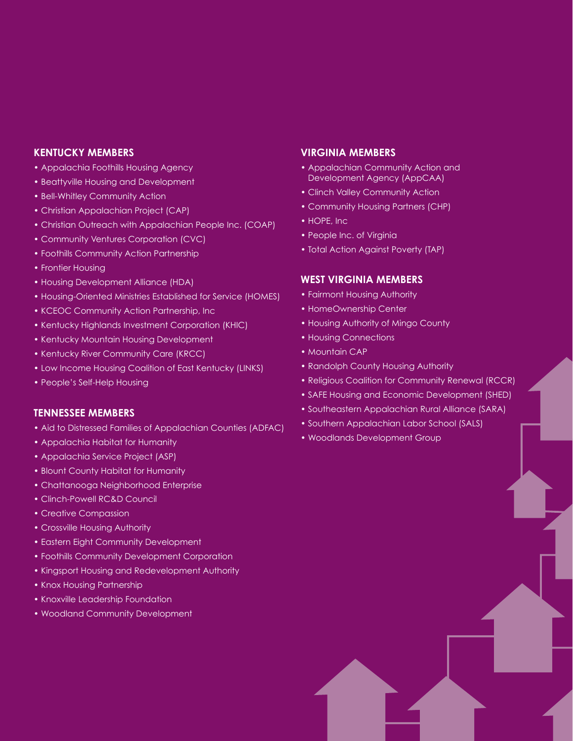### **KENTUCKY MEMBERS**

- Appalachia Foothills Housing Agency
- Beattyville Housing and Development
- Bell-Whitley Community Action
- Christian Appalachian Project (CAP)
- Christian Outreach with Appalachian People Inc. (COAP)
- Community Ventures Corporation (CVC)
- Foothills Community Action Partnership
- Frontier Housing
- Housing Development Alliance (HDA)
- Housing-Oriented Ministries Established for Service (HOMES)
- KCEOC Community Action Partnership, Inc
- Kentucky Highlands Investment Corporation (KHIC)
- Kentucky Mountain Housing Development
- Kentucky River Community Care (KRCC)
- Low Income Housing Coalition of East Kentucky (LINKS)
- People's Self-Help Housing

### **TENNESSEE MEMBERS**

- Aid to Distressed Families of Appalachian Counties (ADFAC)
- Appalachia Habitat for Humanity
- Appalachia Service Project (ASP)
- Blount County Habitat for Humanity
- Chattanooga Neighborhood Enterprise
- Clinch-Powell RC&D Council
- Creative Compassion
- Crossville Housing Authority
- Eastern Eight Community Development
- Foothills Community Development Corporation
- Kingsport Housing and Redevelopment Authority
- Knox Housing Partnership
- Knoxville Leadership Foundation
- Woodland Community Development

#### **VIRGINIA MEMBERS**

- Appalachian Community Action and Development Agency (AppCAA)
- Clinch Valley Community Action
- Community Housing Partners (CHP)
- HOPE, Inc
- People Inc. of Virginia
- Total Action Against Poverty (TAP)

#### **WEST VIRGINIA MEMBERS**

- Fairmont Housing Authority
- HomeOwnership Center
- Housing Authority of Mingo County
- Housing Connections
- Mountain CAP
- Randolph County Housing Authority
- Religious Coalition for Community Renewal (RCCR)
- SAFE Housing and Economic Development (SHED)
- Southeastern Appalachian Rural Alliance (SARA)
- Southern Appalachian Labor School (SALS)
- Woodlands Development Group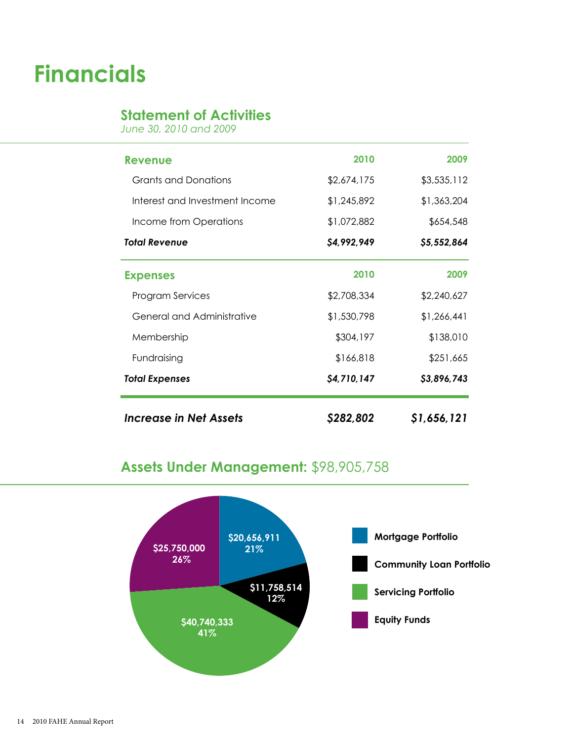## **Financials**

### **Statement of Activities**

*June 30, 2010 and 2009*

| Increase in Net Assets         | S282,802    | \$1,656,121 |
|--------------------------------|-------------|-------------|
| <b>Total Expenses</b>          | \$4,710,147 | \$3,896,743 |
| Fundraising                    | \$166,818   | \$251,665   |
| Membership                     | \$304,197   | \$138,010   |
| General and Administrative     | \$1,530,798 | \$1,266,441 |
| <b>Program Services</b>        | \$2,708,334 | \$2,240,627 |
| <b>Expenses</b>                | 2010        | 2009        |
| <b>Total Revenue</b>           | \$4,992,949 | \$5,552,864 |
| Income from Operations         | \$1,072,882 | \$654,548   |
| Interest and Investment Income | \$1,245,892 | \$1,363,204 |
| <b>Grants and Donations</b>    | \$2,674,175 | \$3,535,112 |
| Revenue                        | 2010        | 2009        |
|                                |             |             |

### **Assets Under Management:** \$98,905,758

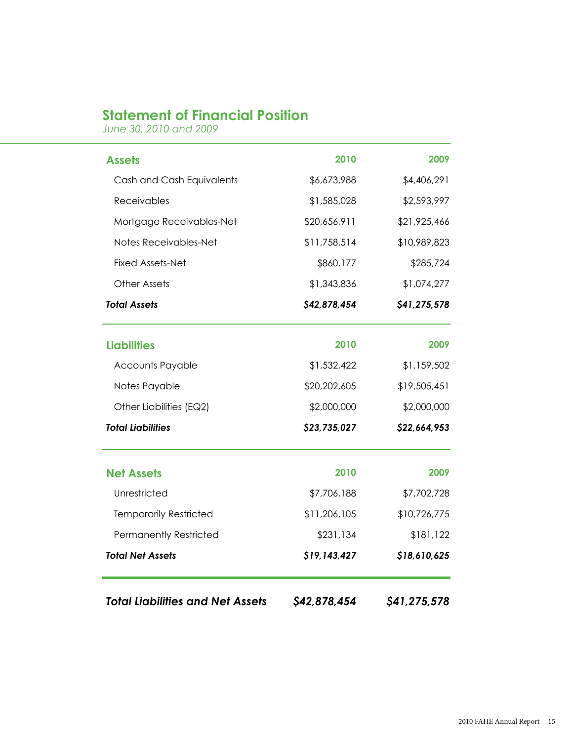### **Statement of Financial Position**

*June 30, 2010 and 2009*

| <b>Total Liabilities and Net Assets</b> | \$42,878,454 | \$41,275,578 |
|-----------------------------------------|--------------|--------------|
| <b>Total Net Assets</b>                 | \$19,143,427 | \$18,610,625 |
| <b>Permanently Restricted</b>           | \$231,134    | \$181,122    |
| <b>Temporarily Restricted</b>           | \$11,206,105 | \$10,726,775 |
| Unrestricted                            | \$7,706,188  | \$7,702,728  |
| <b>Net Assets</b>                       | 2010         | 2009         |
| <b>Total Liabilities</b>                | \$23,735,027 | \$22,664,953 |
| Other Liabilities (EQ2)                 | \$2,000,000  | \$2,000,000  |
| Notes Payable                           | \$20,202,605 | \$19,505,451 |
| <b>Accounts Payable</b>                 | \$1,532,422  | \$1,159,502  |
| <b>Liabilities</b>                      | 2010         | 2009         |
| <b>Total Assets</b>                     | \$42,878,454 | \$41,275,578 |
| <b>Other Assets</b>                     | \$1,343,836  | \$1,074,277  |
| <b>Fixed Assets-Net</b>                 | \$860,177    | \$285,724    |
| Notes Receivables-Net                   | \$11,758,514 | \$10,989,823 |
| Mortgage Receivables-Net                | \$20,656,911 | \$21,925,466 |
| Receivables                             | \$1,585,028  | \$2,593,997  |
| Cash and Cash Equivalents               | \$6,673,988  | \$4,406,291  |
| <b>Assets</b>                           | 2010         | 2009         |